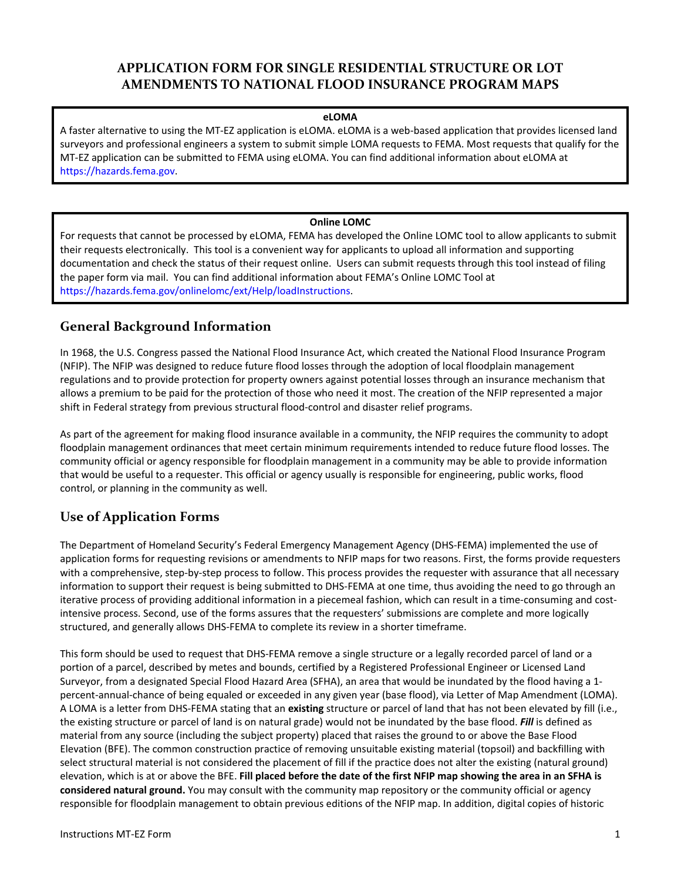# **APPLICATION FORM FOR SINGLE RESIDENTIAL STRUCTURE OR LOT AMENDMENTS TO NATIONAL FLOOD INSURANCE PROGRAM MAPS**

#### **eLOMA**

A faster alternative to using the MT-EZ application is eLOMA. eLOMA is a web-based application that provides licensed land surveyors and professional engineers a system to submit simple LOMA requests to FEMA. Most requests that qualify for the MT-EZ application can be submitted to FEMA using eLOMA. You can find additional information about eLOMA at [https://hazards.fema.gov.](https://hazards.fema.gov/) 

### **Online LOMC**

For requests that cannot be processed by eLOMA, FEMA has developed the Online LOMC tool to allow applicants to submit their requests electronically. This tool is a convenient way for applicants to upload all information and supporting documentation and check the status of their request online. Users can submit requests through this tool instead of filing the paper form via mail. You can find additional information about FEMA's Online LOMC Tool at [https://hazards.fema.gov/onlinelomc/ext/Help/loadInstructions.](https://hazards.fema.gov/onlinelomc/ext/Help/loadInstructions)

# **General Background Information**

In 1968, the U.S. Congress passed the National Flood Insurance Act, which created the National Flood Insurance Program (NFIP). The NFIP was designed to reduce future flood losses through the adoption of local floodplain management regulations and to provide protection for property owners against potential losses through an insurance mechanism that allows a premium to be paid for the protection of those who need it most. The creation of the NFIP represented a major shift in Federal strategy from previous structural flood-control and disaster relief programs.

As part of the agreement for making flood insurance available in a community, the NFIP requires the community to adopt floodplain management ordinances that meet certain minimum requirements intended to reduce future flood losses. The community official or agency responsible for floodplain management in a community may be able to provide information that would be useful to a requester. This official or agency usually is responsible for engineering, public works, flood control, or planning in the community as well.

# **Use of Application Forms**

The Department of Homeland Security's Federal Emergency Management Agency (DHS-FEMA) implemented the use of application forms for requesting revisions or amendments to NFIP maps for two reasons. First, the forms provide requesters with a comprehensive, step-by-step process to follow. This process provides the requester with assurance that all necessary information to support their request is being submitted to DHS-FEMA at one time, thus avoiding the need to go through an iterative process of providing additional information in a piecemeal fashion, which can result in a time-consuming and costintensive process. Second, use of the forms assures that the requesters' submissions are complete and more logically structured, and generally allows DHS-FEMA to complete its review in a shorter timeframe.

This form should be used to request that DHS-FEMA remove a single structure or a legally recorded parcel of land or a portion of a parcel, described by metes and bounds, certified by a Registered Professional Engineer or Licensed Land Surveyor, from a designated Special Flood Hazard Area (SFHA), an area that would be inundated by the flood having a 1 percent-annual-chance of being equaled or exceeded in any given year (base flood), via Letter of Map Amendment (LOMA). A LOMA is a letter from DHS-FEMA stating that an **existing** structure or parcel of land that has not been elevated by fill (i.e., the existing structure or parcel of land is on natural grade) would not be inundated by the base flood. *Fill* is defined as material from any source (including the subject property) placed that raises the ground to or above the Base Flood Elevation (BFE). The common construction practice of removing unsuitable existing material (topsoil) and backfilling with select structural material is not considered the placement of fill if the practice does not alter the existing (natural ground) elevation, which is at or above the BFE. **Fill placed before the date of the first NFIP map showing the area in an SFHA is considered natural ground.** You may consult with the community map repository or the community official or agency responsible for floodplain management to obtain previous editions of the NFIP map. In addition, digital copies of historic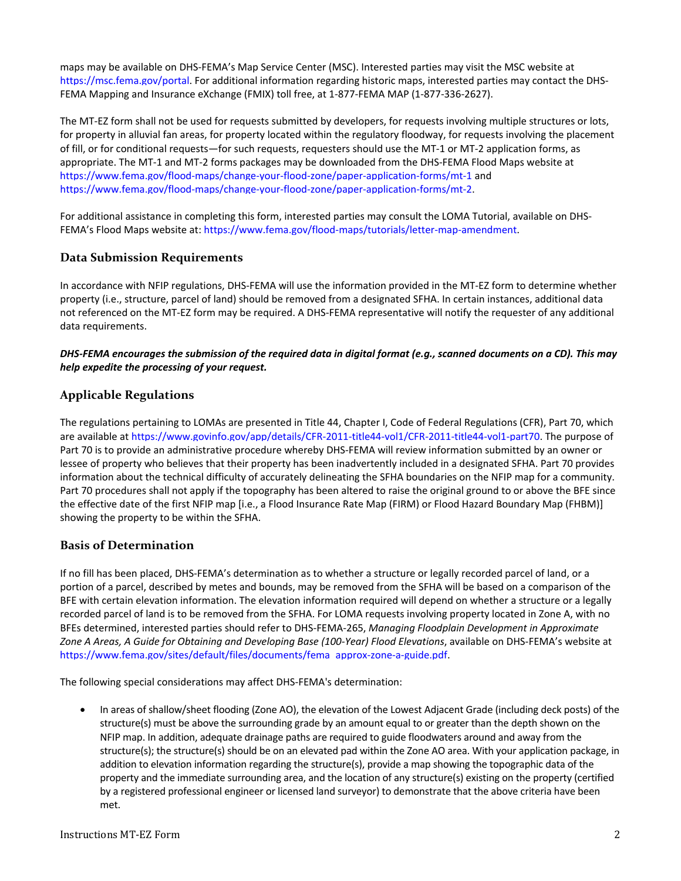maps may be available on DHS-FEMA's Map Service Center (MSC). Interested parties may visit the MSC website at [https://msc.fema.gov/portal.](https://msc.fema.gov/portal) For additional information regarding historic maps, interested parties may contact the DHS-FEMA Mapping and Insurance eXchange (FMIX) toll free, at 1-877-FEMA MAP (1-877-336-2627).

The MT-EZ form shall not be used for requests submitted by developers, for requests involving multiple structures or lots, for property in alluvial fan areas, for property located within the regulatory floodway, for requests involving the placement of fill, or for conditional requests—for such requests, requesters should use the MT-1 or MT-2 application forms, as appropriate. The MT-1 and MT-2 forms packages may be downloaded from the DHS-FEMA Flood Maps website at <https://www.fema.gov/flood-maps/change-your-flood-zone/paper-application-forms/mt-1> and [https://www.fema.gov/flood-maps/change-your-flood-zone/paper-application-forms/mt-2.](https://www.fema.gov/flood-maps/change-your-flood-zone/paper-application-forms/mt-2)

For additional assistance in completing this form, interested parties may consult the LOMA Tutorial, available on DHS-FEMA's Flood Maps website at[: https://www.fema.gov/flood-maps/tutorials/letter-map-amendment.](https://www.fema.gov/flood-maps/tutorials/letter-map-amendment)

# **Data Submission Requirements**

In accordance with NFIP regulations, DHS-FEMA will use the information provided in the MT-EZ form to determine whether property (i.e., structure, parcel of land) should be removed from a designated SFHA. In certain instances, additional data not referenced on the MT-EZ form may be required. A DHS-FEMA representative will notify the requester of any additional data requirements.

### *DHS-FEMA encourages the submission of the required data in digital format (e.g., scanned documents on a CD). This may help expedite the processing of your request.*

# **Applicable Regulations**

The regulations pertaining to LOMAs are presented in Title 44, Chapter I, Code of Federal Regulations (CFR), Part 70, which are available at [https://www.govinfo.gov/app/details/CFR-2011-title44-vol1/CFR-2011-title44-vol1-part70.](https://www.govinfo.gov/app/details/CFR-2011-title44-vol1/CFR-2011-title44-vol1-part70) The purpose of Part 70 is to provide an administrative procedure whereby DHS-FEMA will review information submitted by an owner or lessee of property who believes that their property has been inadvertently included in a designated SFHA. Part 70 provides information about the technical difficulty of accurately delineating the SFHA boundaries on the NFIP map for a community. Part 70 procedures shall not apply if the topography has been altered to raise the original ground to or above the BFE since the effective date of the first NFIP map [i.e., a Flood Insurance Rate Map (FIRM) or Flood Hazard Boundary Map (FHBM)] showing the property to be within the SFHA.

# **Basis of Determination**

If no fill has been placed, DHS-FEMA's determination as to whether a structure or legally recorded parcel of land, or a portion of a parcel, described by metes and bounds, may be removed from the SFHA will be based on a comparison of the BFE with certain elevation information. The elevation information required will depend on whether a structure or a legally recorded parcel of land is to be removed from the SFHA. For LOMA requests involving property located in Zone A, with no BFEs determined, interested parties should refer to DHS-FEMA-265, *Managing Floodplain Development in Approximate Zone A Areas, A Guide for Obtaining and Developing Base (100-Year) Flood Elevations*, available on DHS-FEMA's website at [https://www.fema.gov/sites/default/files/documents/fema\\_approx-zone-a-guide.pdf.](https://www.fema.gov/sites/default/files/documents/fema_approx-zone-a-guide.pdf)

The following special considerations may affect DHS-FEMA's determination:

• In areas of shallow/sheet flooding (Zone AO), the elevation of the Lowest Adjacent Grade (including deck posts) of the structure(s) must be above the surrounding grade by an amount equal to or greater than the depth shown on the NFIP map. In addition, adequate drainage paths are required to guide floodwaters around and away from the structure(s); the structure(s) should be on an elevated pad within the Zone AO area. With your application package, in addition to elevation information regarding the structure(s), provide a map showing the topographic data of the property and the immediate surrounding area, and the location of any structure(s) existing on the property (certified by a registered professional engineer or licensed land surveyor) to demonstrate that the above criteria have been met.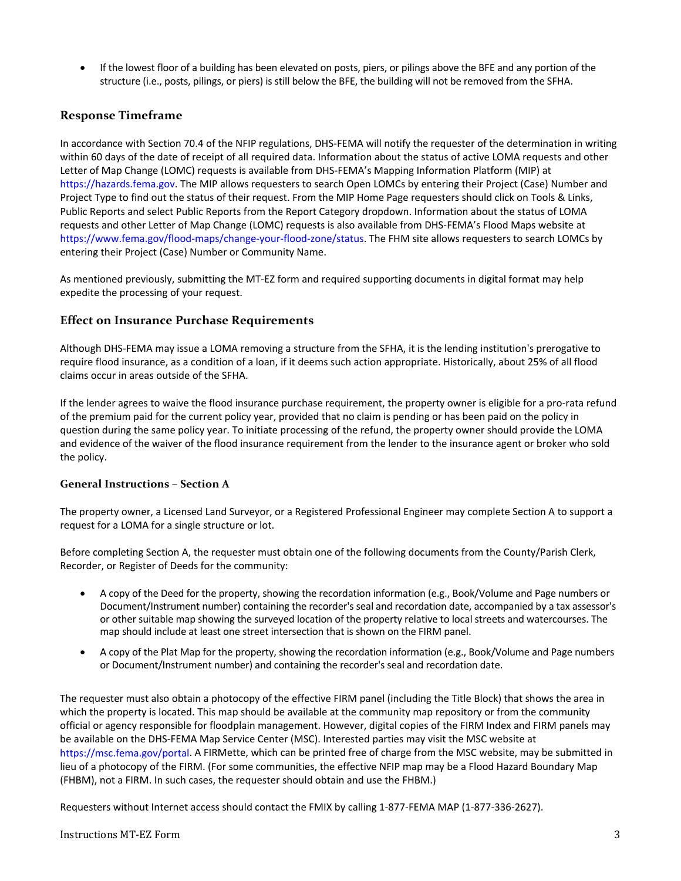• If the lowest floor of a building has been elevated on posts, piers, or pilings above the BFE and any portion of the structure (i.e., posts, pilings, or piers) is still below the BFE, the building will not be removed from the SFHA.

# **Response Timeframe**

In accordance with Section 70.4 of the NFIP regulations, DHS-FEMA will notify the requester of the determination in writing within 60 days of the date of receipt of all required data. Information about the status of active LOMA requests and other Letter of Map Change (LOMC) requests is available from DHS-FEMA's Mapping Information Platform (MIP) at [https://hazards.fema.gov.](https://hazards.fema.gov/) The MIP allows requesters to search Open LOMCs by entering their Project (Case) Number and Project Type to find out the status of their request. From the MIP Home Page requesters should click on Tools & Links, Public Reports and select Public Reports from the Report Category dropdown. Information about the status of LOMA requests and other Letter of Map Change (LOMC) requests is also available from DHS-FEMA's Flood Maps website at [https://www.fema.gov/flood-maps/change-your-flood-zone/status.](https://www.fema.gov/flood-maps/change-your-flood-zone/status) The FHM site allows requesters to search LOMCs by entering their Project (Case) Number or Community Name.

As mentioned previously, submitting the MT-EZ form and required supporting documents in digital format may help expedite the processing of your request.

### **Effect on Insurance Purchase Requirements**

Although DHS-FEMA may issue a LOMA removing a structure from the SFHA, it is the lending institution's prerogative to require flood insurance, as a condition of a loan, if it deems such action appropriate. Historically, about 25% of all flood claims occur in areas outside of the SFHA.

If the lender agrees to waive the flood insurance purchase requirement, the property owner is eligible for a pro-rata refund of the premium paid for the current policy year, provided that no claim is pending or has been paid on the policy in question during the same policy year. To initiate processing of the refund, the property owner should provide the LOMA and evidence of the waiver of the flood insurance requirement from the lender to the insurance agent or broker who sold the policy.

### **General Instructions – Section A**

The property owner, a Licensed Land Surveyor, or a Registered Professional Engineer may complete Section A to support a request for a LOMA for a single structure or lot.

Before completing Section A, the requester must obtain one of the following documents from the County/Parish Clerk, Recorder, or Register of Deeds for the community:

- A copy of the Deed for the property, showing the recordation information (e.g., Book/Volume and Page numbers or Document/Instrument number) containing the recorder's seal and recordation date, accompanied by a tax assessor's or other suitable map showing the surveyed location of the property relative to local streets and watercourses. The map should include at least one street intersection that is shown on the FIRM panel.
- A copy of the Plat Map for the property, showing the recordation information (e.g., Book/Volume and Page numbers or Document/Instrument number) and containing the recorder's seal and recordation date.

The requester must also obtain a photocopy of the effective FIRM panel (including the Title Block) that shows the area in which the property is located. This map should be available at the community map repository or from the community official or agency responsible for floodplain management. However, digital copies of the FIRM Index and FIRM panels may be available on the DHS-FEMA Map Service Center (MSC). Interested parties may visit the MSC website at [https://msc.fema.gov/portal.](https://msc.fema.gov/portal) A FIRMette, which can be printed free of charge from the MSC website, may be submitted in lieu of a photocopy of the FIRM. (For some communities, the effective NFIP map may be a Flood Hazard Boundary Map (FHBM), not a FIRM. In such cases, the requester should obtain and use the FHBM.)

Requesters without Internet access should contact the FMIX by calling 1-877-FEMA MAP (1-877-336-2627).

# Instructions MT-EZ Form 3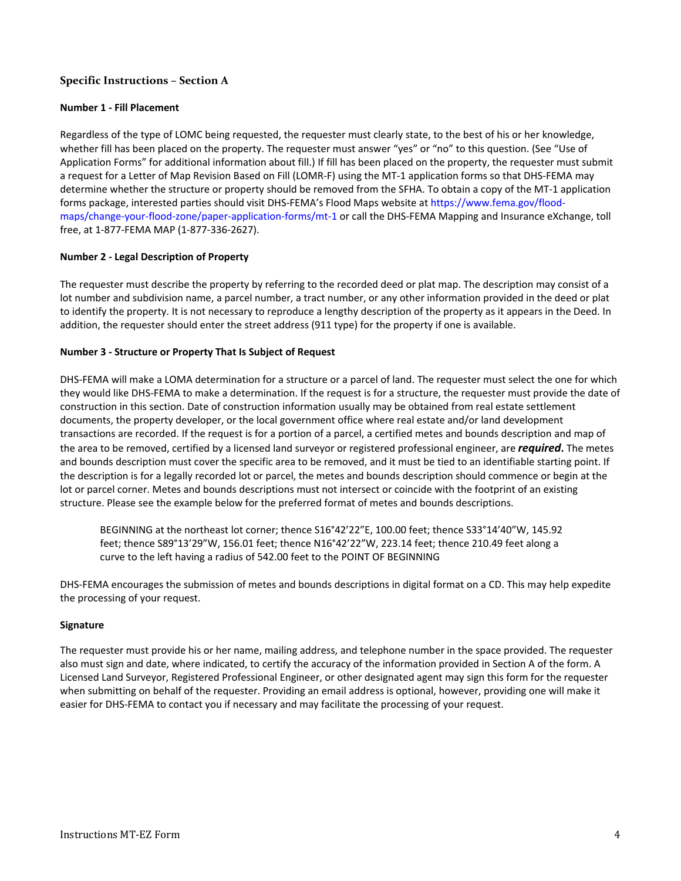### **Specific Instructions – Section A**

#### **Number 1 - Fill Placement**

Regardless of the type of LOMC being requested, the requester must clearly state, to the best of his or her knowledge, whether fill has been placed on the property. The requester must answer "yes" or "no" to this question. (See "Use of Application Forms" for additional information about fill.) If fill has been placed on the property, the requester must submit a request for a Letter of Map Revision Based on Fill (LOMR-F) using the MT-1 application forms so that DHS-FEMA may determine whether the structure or property should be removed from the SFHA. To obtain a copy of the MT-1 application forms package, interested parties should visit DHS-FEMA's Flood Maps website a[t https://www.fema.gov/flood](https://www.fema.gov/flood-maps/change-your-flood-zone/paper-application-forms/mt-1)[maps/change-your-flood-zone/paper-application-forms/mt-1](https://www.fema.gov/flood-maps/change-your-flood-zone/paper-application-forms/mt-1) or call the DHS-FEMA Mapping and Insurance eXchange, toll free, at 1-877-FEMA MAP (1-877-336-2627).

#### **Number 2 - Legal Description of Property**

The requester must describe the property by referring to the recorded deed or plat map. The description may consist of a lot number and subdivision name, a parcel number, a tract number, or any other information provided in the deed or plat to identify the property. It is not necessary to reproduce a lengthy description of the property as it appears in the Deed. In addition, the requester should enter the street address (911 type) for the property if one is available.

#### **Number 3 - Structure or Property That Is Subject of Request**

DHS-FEMA will make a LOMA determination for a structure or a parcel of land. The requester must select the one for which they would like DHS-FEMA to make a determination. If the request is for a structure, the requester must provide the date of construction in this section. Date of construction information usually may be obtained from real estate settlement documents, the property developer, or the local government office where real estate and/or land development transactions are recorded. If the request is for a portion of a parcel, a certified metes and bounds description and map of the area to be removed, certified by a licensed land surveyor or registered professional engineer, are *required***.** The metes and bounds description must cover the specific area to be removed, and it must be tied to an identifiable starting point. If the description is for a legally recorded lot or parcel, the metes and bounds description should commence or begin at the lot or parcel corner. Metes and bounds descriptions must not intersect or coincide with the footprint of an existing structure. Please see the example below for the preferred format of metes and bounds descriptions.

BEGINNING at the northeast lot corner; thence S16°42'22"E, 100.00 feet; thence S33°14'40"W, 145.92 feet; thence S89°13'29"W, 156.01 feet; thence N16°42'22"W, 223.14 feet; thence 210.49 feet along a curve to the left having a radius of 542.00 feet to the POINT OF BEGINNING

DHS-FEMA encourages the submission of metes and bounds descriptions in digital format on a CD. This may help expedite the processing of your request.

#### **Signature**

The requester must provide his or her name, mailing address, and telephone number in the space provided. The requester also must sign and date, where indicated, to certify the accuracy of the information provided in Section A of the form. A Licensed Land Surveyor, Registered Professional Engineer, or other designated agent may sign this form for the requester when submitting on behalf of the requester. Providing an email address is optional, however, providing one will make it easier for DHS-FEMA to contact you if necessary and may facilitate the processing of your request.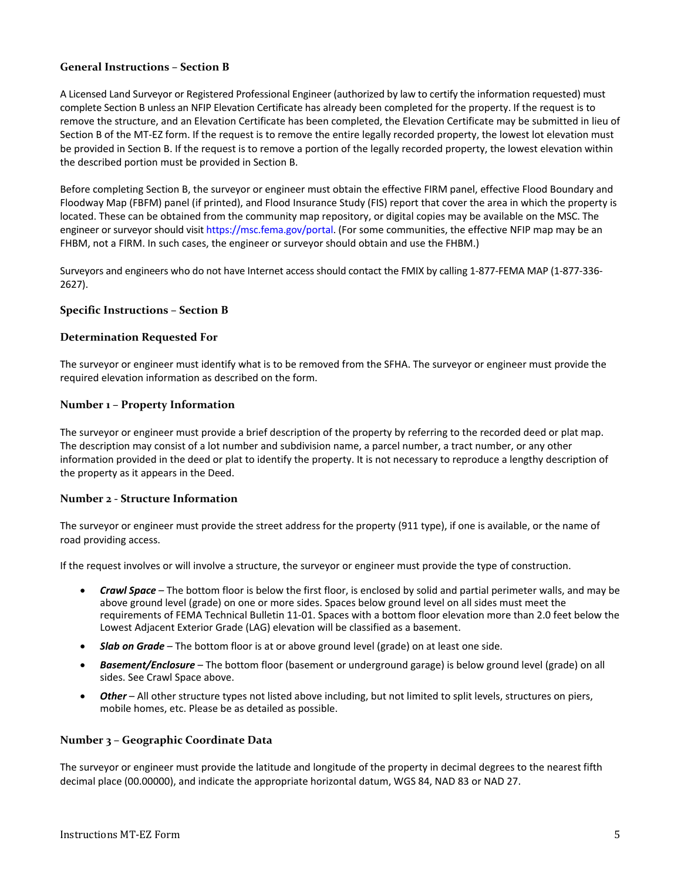# **General Instructions – Section B**

A Licensed Land Surveyor or Registered Professional Engineer (authorized by law to certify the information requested) must complete Section B unless an NFIP Elevation Certificate has already been completed for the property. If the request is to remove the structure, and an Elevation Certificate has been completed, the Elevation Certificate may be submitted in lieu of Section B of the MT-EZ form. If the request is to remove the entire legally recorded property, the lowest lot elevation must be provided in Section B. If the request is to remove a portion of the legally recorded property, the lowest elevation within the described portion must be provided in Section B.

Before completing Section B, the surveyor or engineer must obtain the effective FIRM panel, effective Flood Boundary and Floodway Map (FBFM) panel (if printed), and Flood Insurance Study (FIS) report that cover the area in which the property is located. These can be obtained from the community map repository, or digital copies may be available on the MSC. The engineer or surveyor should visi[t https://msc.fema.gov/portal.](https://msc.fema.gov/portal) (For some communities, the effective NFIP map may be an FHBM, not a FIRM. In such cases, the engineer or surveyor should obtain and use the FHBM.)

Surveyors and engineers who do not have Internet access should contact the FMIX by calling 1-877-FEMA MAP (1-877-336- 2627).

#### **Specific Instructions – Section B**

#### **Determination Requested For**

The surveyor or engineer must identify what is to be removed from the SFHA. The surveyor or engineer must provide the required elevation information as described on the form.

#### **Number 1 – Property Information**

The surveyor or engineer must provide a brief description of the property by referring to the recorded deed or plat map. The description may consist of a lot number and subdivision name, a parcel number, a tract number, or any other information provided in the deed or plat to identify the property. It is not necessary to reproduce a lengthy description of the property as it appears in the Deed.

### **Number 2 - Structure Information**

The surveyor or engineer must provide the street address for the property (911 type), if one is available, or the name of road providing access.

If the request involves or will involve a structure, the surveyor or engineer must provide the type of construction.

- *Crawl Space* The bottom floor is below the first floor, is enclosed by solid and partial perimeter walls, and may be above ground level (grade) on one or more sides. Spaces below ground level on all sides must meet the requirements of FEMA Technical Bulletin 11-01. Spaces with a bottom floor elevation more than 2.0 feet below the Lowest Adjacent Exterior Grade (LAG) elevation will be classified as a basement.
- *Slab on Grade* The bottom floor is at or above ground level (grade) on at least one side.
- *Basement/Enclosure* The bottom floor (basement or underground garage) is below ground level (grade) on all sides. See Crawl Space above.
- *Other* All other structure types not listed above including, but not limited to split levels, structures on piers, mobile homes, etc. Please be as detailed as possible.

### **Number 3 – Geographic Coordinate Data**

The surveyor or engineer must provide the latitude and longitude of the property in decimal degrees to the nearest fifth decimal place (00.00000), and indicate the appropriate horizontal datum, WGS 84, NAD 83 or NAD 27.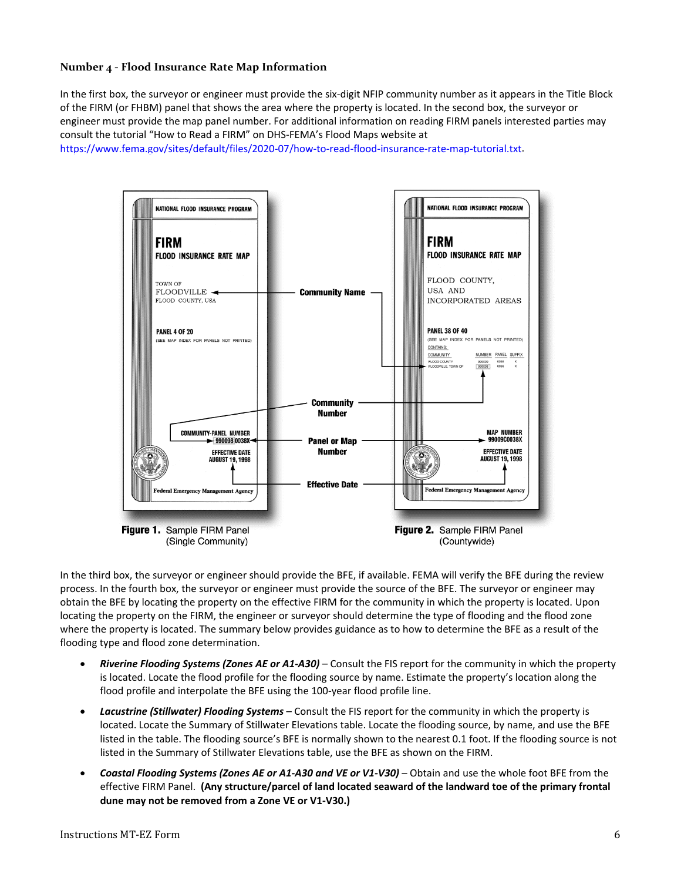### **Number 4 - Flood Insurance Rate Map Information**

In the first box, the surveyor or engineer must provide the six-digit NFIP community number as it appears in the Title Block of the FIRM (or FHBM) panel that shows the area where the property is located. In the second box, the surveyor or engineer must provide the map panel number. For additional information on reading FIRM panels interested parties may consult the tutorial "How to Read a FIRM" on DHS-FEMA's Flood Maps website at

[https://www.fema.gov/sites/default/files/2020-07/how-to-read-flood-insurance-rate-map-tutorial.txt.](https://www.fema.gov/sites/default/files/2020-07/how-to-read-flood-insurance-rate-map-tutorial.txt)



In the third box, the surveyor or engineer should provide the BFE, if available. FEMA will verify the BFE during the review process. In the fourth box, the surveyor or engineer must provide the source of the BFE. The surveyor or engineer may obtain the BFE by locating the property on the effective FIRM for the community in which the property is located. Upon locating the property on the FIRM, the engineer or surveyor should determine the type of flooding and the flood zone where the property is located. The summary below provides guidance as to how to determine the BFE as a result of the flooding type and flood zone determination.

- *Riverine Flooding Systems (Zones AE or A1-A30)* Consult the FIS report for the community in which the property is located. Locate the flood profile for the flooding source by name. Estimate the property's location along the flood profile and interpolate the BFE using the 100-year flood profile line.
- *Lacustrine (Stillwater) Flooding Systems* Consult the FIS report for the community in which the property is located. Locate the Summary of Stillwater Elevations table. Locate the flooding source, by name, and use the BFE listed in the table. The flooding source's BFE is normally shown to the nearest 0.1 foot. If the flooding source is not listed in the Summary of Stillwater Elevations table, use the BFE as shown on the FIRM.
- *Coastal Flooding Systems (Zones AE or A1-A30 and VE or V1-V30)* Obtain and use the whole foot BFE from the effective FIRM Panel. **(Any structure/parcel of land located seaward of the landward toe of the primary frontal dune may not be removed from a Zone VE or V1-V30.)**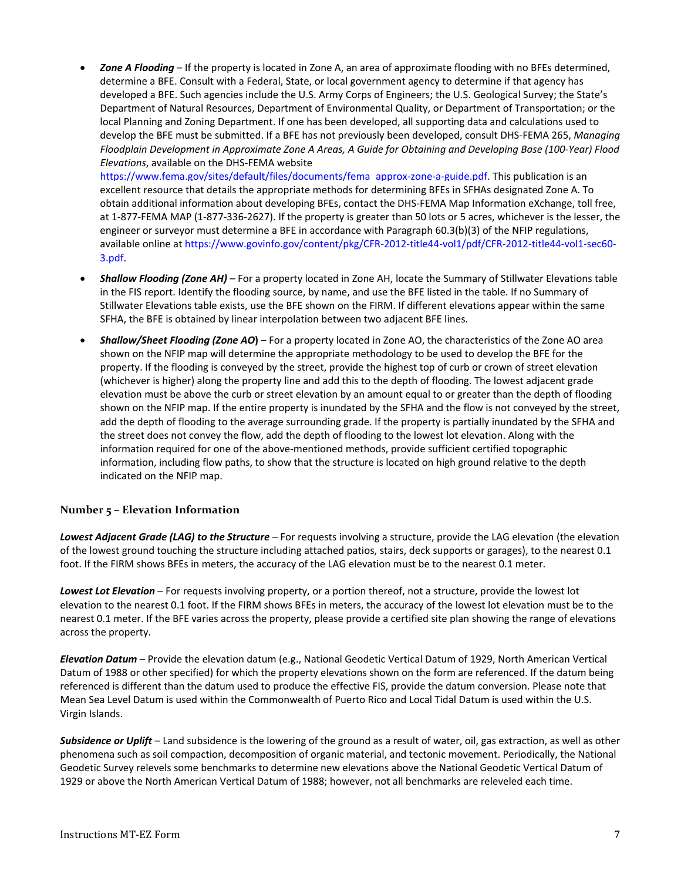• *Zone A Flooding* – If the property is located in Zone A, an area of approximate flooding with no BFEs determined, determine a BFE. Consult with a Federal, State, or local government agency to determine if that agency has developed a BFE. Such agencies include the U.S. Army Corps of Engineers; the U.S. Geological Survey; the State's Department of Natural Resources, Department of Environmental Quality, or Department of Transportation; or the local Planning and Zoning Department. If one has been developed, all supporting data and calculations used to develop the BFE must be submitted. If a BFE has not previously been developed, consult DHS-FEMA 265, *Managing Floodplain Development in Approximate Zone A Areas, A Guide for Obtaining and Developing Base (100-Year) Flood Elevations*, available on the DHS-FEMA website

[https://www.fema.gov/sites/default/files/documents/fema\\_approx-zone-a-guide.pdf.](https://www.fema.gov/sites/default/files/documents/fema_approx-zone-a-guide.pdf) This publication is an excellent resource that details the appropriate methods for determining BFEs in SFHAs designated Zone A. To obtain additional information about developing BFEs, contact the DHS-FEMA Map Information eXchange, toll free, at 1-877-FEMA MAP (1-877-336-2627). If the property is greater than 50 lots or 5 acres, whichever is the lesser, the engineer or surveyor must determine a BFE in accordance with Paragraph 60.3(b)(3) of the NFIP regulations, available online at https://www.govinfo.gov/content/pkg/CFR-2012-title44-vol1/pdf/CFR-2012-title44-vol1-sec60- 3.pdf.

- *Shallow Flooding (Zone AH)* For a property located in Zone AH, locate the Summary of Stillwater Elevations table in the FIS report. Identify the flooding source, by name, and use the BFE listed in the table. If no Summary of Stillwater Elevations table exists, use the BFE shown on the FIRM. If different elevations appear within the same SFHA, the BFE is obtained by linear interpolation between two adjacent BFE lines.
- *Shallow/Sheet Flooding (Zone AO***)**  For a property located in Zone AO, the characteristics of the Zone AO area shown on the NFIP map will determine the appropriate methodology to be used to develop the BFE for the property. If the flooding is conveyed by the street, provide the highest top of curb or crown of street elevation (whichever is higher) along the property line and add this to the depth of flooding. The lowest adjacent grade elevation must be above the curb or street elevation by an amount equal to or greater than the depth of flooding shown on the NFIP map. If the entire property is inundated by the SFHA and the flow is not conveyed by the street, add the depth of flooding to the average surrounding grade. If the property is partially inundated by the SFHA and the street does not convey the flow, add the depth of flooding to the lowest lot elevation. Along with the information required for one of the above-mentioned methods, provide sufficient certified topographic information, including flow paths, to show that the structure is located on high ground relative to the depth indicated on the NFIP map.

# **Number 5 – Elevation Information**

*Lowest Adjacent Grade (LAG) to the Structure* – For requests involving a structure, provide the LAG elevation (the elevation of the lowest ground touching the structure including attached patios, stairs, deck supports or garages), to the nearest 0.1 foot. If the FIRM shows BFEs in meters, the accuracy of the LAG elevation must be to the nearest 0.1 meter.

*Lowest Lot Elevation* – For requests involving property, or a portion thereof, not a structure, provide the lowest lot elevation to the nearest 0.1 foot. If the FIRM shows BFEs in meters, the accuracy of the lowest lot elevation must be to the nearest 0.1 meter. If the BFE varies across the property, please provide a certified site plan showing the range of elevations across the property.

*Elevation Datum* – Provide the elevation datum (e.g., National Geodetic Vertical Datum of 1929, North American Vertical Datum of 1988 or other specified) for which the property elevations shown on the form are referenced. If the datum being referenced is different than the datum used to produce the effective FIS, provide the datum conversion. Please note that Mean Sea Level Datum is used within the Commonwealth of Puerto Rico and Local Tidal Datum is used within the U.S. Virgin Islands.

*Subsidence or Uplift* – Land subsidence is the lowering of the ground as a result of water, oil, gas extraction, as well as other phenomena such as soil compaction, decomposition of organic material, and tectonic movement. Periodically, the National Geodetic Survey relevels some benchmarks to determine new elevations above the National Geodetic Vertical Datum of 1929 or above the North American Vertical Datum of 1988; however, not all benchmarks are releveled each time.